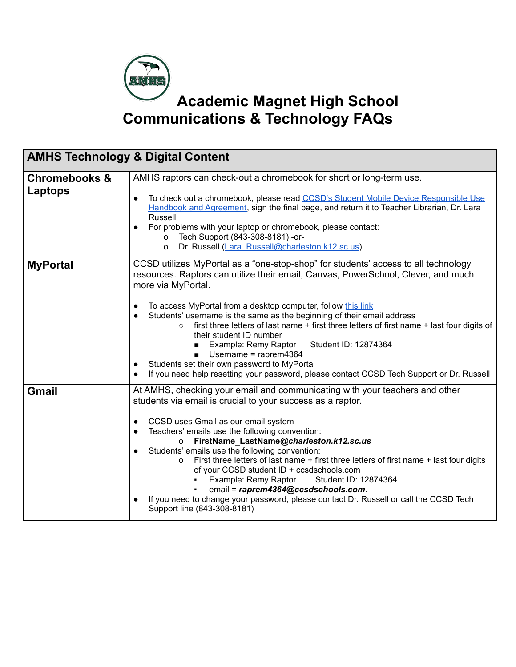

| <b>AMHS Technology &amp; Digital Content</b> |                                                                                                                                                                                                                                                                                                                                                                                                                                                                                                                                                                                                                                                                                                                                      |
|----------------------------------------------|--------------------------------------------------------------------------------------------------------------------------------------------------------------------------------------------------------------------------------------------------------------------------------------------------------------------------------------------------------------------------------------------------------------------------------------------------------------------------------------------------------------------------------------------------------------------------------------------------------------------------------------------------------------------------------------------------------------------------------------|
| <b>Chromebooks &amp;</b><br>Laptops          | AMHS raptors can check-out a chromebook for short or long-term use.<br>To check out a chromebook, please read CCSD's Student Mobile Device Responsible Use<br>$\bullet$<br>Handbook and Agreement, sign the final page, and return it to Teacher Librarian, Dr. Lara<br><b>Russell</b><br>For problems with your laptop or chromebook, please contact:<br>Tech Support (843-308-8181) -or-<br>o<br>Dr. Russell (Lara Russell@charleston.k12.sc.us)<br>O                                                                                                                                                                                                                                                                              |
| <b>MyPortal</b>                              | CCSD utilizes MyPortal as a "one-stop-shop" for students' access to all technology<br>resources. Raptors can utilize their email, Canvas, PowerSchool, Clever, and much<br>more via MyPortal.<br>To access MyPortal from a desktop computer, follow this link<br>Students' username is the same as the beginning of their email address<br>first three letters of last name + first three letters of first name + last four digits of<br>$\circ$<br>their student ID number<br>Student ID: 12874364<br>Example: Remy Raptor<br>$\blacksquare$<br>Username = raprem4364<br>$\blacksquare$<br>Students set their own password to MyPortal<br>If you need help resetting your password, please contact CCSD Tech Support or Dr. Russell |
| <b>Gmail</b>                                 | At AMHS, checking your email and communicating with your teachers and other<br>students via email is crucial to your success as a raptor.<br>CCSD uses Gmail as our email system<br>$\bullet$<br>Teachers' emails use the following convention:<br>o FirstName_LastName@charleston.k12.sc.us<br>Students' emails use the following convention:<br>First three letters of last name + first three letters of first name + last four digits<br>$\Omega$<br>of your CCSD student ID + ccsdschools.com<br>Example: Remy Raptor<br>Student ID: 12874364<br>email = raprem4364@ccsdschools.com.<br>If you need to change your password, please contact Dr. Russell or call the CCSD Tech<br>Support line (843-308-8181)                    |